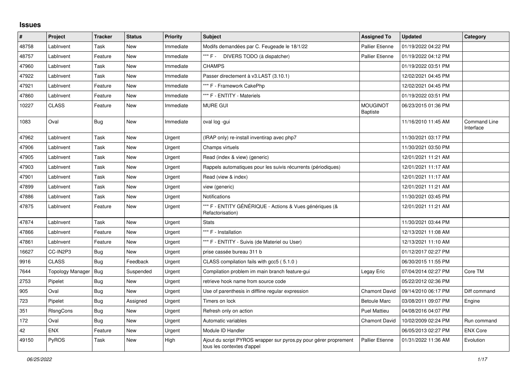## **Issues**

| #     | Project          | <b>Tracker</b> | <b>Status</b> | <b>Priority</b> | <b>Subject</b>                                                                                 | <b>Assigned To</b>                 | <b>Updated</b>      | Category                  |
|-------|------------------|----------------|---------------|-----------------|------------------------------------------------------------------------------------------------|------------------------------------|---------------------|---------------------------|
| 48758 | LabInvent        | Task           | <b>New</b>    | Immediate       | Modifs demandées par C. Feugeade le 18/1/22                                                    | <b>Pallier Etienne</b>             | 01/19/2022 04:22 PM |                           |
| 48757 | LabInvent        | Feature        | <b>New</b>    | Immediate       | *** F -<br>DIVERS TODO (à dispatcher)                                                          | <b>Pallier Etienne</b>             | 01/19/2022 04:12 PM |                           |
| 47960 | LabInvent        | Task           | <b>New</b>    | Immediate       | <b>CHAMPS</b>                                                                                  |                                    | 01/19/2022 03:51 PM |                           |
| 47922 | LabInvent        | Task           | New           | Immediate       | Passer directement à v3.LAST (3.10.1)                                                          |                                    | 12/02/2021 04:45 PM |                           |
| 47921 | LabInvent        | Feature        | <b>New</b>    | Immediate       | *** F - Framework CakePhp                                                                      |                                    | 12/02/2021 04:45 PM |                           |
| 47860 | LabInvent        | Feature        | <b>New</b>    | Immediate       | *** F - ENTITY - Materiels                                                                     |                                    | 01/19/2022 03:51 PM |                           |
| 10227 | <b>CLASS</b>     | Feature        | New           | Immediate       | MURE GUI                                                                                       | <b>MOUGINOT</b><br><b>Baptiste</b> | 06/23/2015 01:36 PM |                           |
| 1083  | Oval             | Bug            | <b>New</b>    | Immediate       | oval log -gui                                                                                  |                                    | 11/16/2010 11:45 AM | Command Line<br>Interface |
| 47962 | LabInvent        | Task           | <b>New</b>    | Urgent          | (IRAP only) re-install inventirap avec php7                                                    |                                    | 11/30/2021 03:17 PM |                           |
| 47906 | LabInvent        | Task           | New           | Urgent          | Champs virtuels                                                                                |                                    | 11/30/2021 03:50 PM |                           |
| 47905 | LabInvent        | Task           | <b>New</b>    | Urgent          | Read (index & view) (generic)                                                                  |                                    | 12/01/2021 11:21 AM |                           |
| 47903 | LabInvent        | Task           | <b>New</b>    | Urgent          | Rappels automatiques pour les suivis récurrents (périodiques)                                  |                                    | 12/01/2021 11:17 AM |                           |
| 47901 | LabInvent        | Task           | <b>New</b>    | Urgent          | Read (view & index)                                                                            |                                    | 12/01/2021 11:17 AM |                           |
| 47899 | LabInvent        | Task           | New           | Urgent          | view (generic)                                                                                 |                                    | 12/01/2021 11:21 AM |                           |
| 47886 | LabInvent        | Task           | <b>New</b>    | Urgent          | Notifications                                                                                  |                                    | 11/30/2021 03:45 PM |                           |
| 47875 | LabInvent        | Feature        | New           | Urgent          | *** F - ENTITY GÉNÉRIQUE - Actions & Vues génériques (&<br>Refactorisation)                    |                                    | 12/01/2021 11:21 AM |                           |
| 47874 | LabInvent        | Task           | <b>New</b>    | Urgent          | <b>Stats</b>                                                                                   |                                    | 11/30/2021 03:44 PM |                           |
| 47866 | LabInvent        | Feature        | New           | Urgent          | *** F - Installation                                                                           |                                    | 12/13/2021 11:08 AM |                           |
| 47861 | LabInvent        | Feature        | <b>New</b>    | Urgent          | *** F - ENTITY - Suivis (de Materiel ou User)                                                  |                                    | 12/13/2021 11:10 AM |                           |
| 16627 | CC-IN2P3         | <b>Bug</b>     | <b>New</b>    | Urgent          | prise cassée bureau 311 b                                                                      |                                    | 01/12/2017 02:27 PM |                           |
| 9916  | <b>CLASS</b>     | Bug            | Feedback      | Urgent          | CLASS compilation fails with gcc5 (5.1.0)                                                      |                                    | 06/30/2015 11:55 PM |                           |
| 7644  | Topology Manager | Bug            | Suspended     | Urgent          | Compilation problem im main branch feature-gui                                                 | Legay Eric                         | 07/04/2014 02:27 PM | Core TM                   |
| 2753  | Pipelet          | Bug            | New           | Urgent          | retrieve hook name from source code                                                            |                                    | 05/22/2012 02:36 PM |                           |
| 905   | Oval             | <b>Bug</b>     | New           | Urgent          | Use of parenthesis in diffline regular expression                                              | Chamont David                      | 09/14/2010 06:17 PM | Diff command              |
| 723   | Pipelet          | <b>Bug</b>     | Assigned      | Urgent          | Timers on lock                                                                                 | <b>Betoule Marc</b>                | 03/08/2011 09:07 PM | Engine                    |
| 351   | <b>RIsngCons</b> | <b>Bug</b>     | <b>New</b>    | Urgent          | Refresh only on action                                                                         | <b>Puel Mattieu</b>                | 04/08/2016 04:07 PM |                           |
| 172   | Oval             | Bug            | New           | Urgent          | Automatic variables                                                                            | Chamont David                      | 10/02/2009 02:24 PM | Run command               |
| 42    | <b>ENX</b>       | Feature        | New           | Urgent          | Module ID Handler                                                                              |                                    | 06/05/2013 02:27 PM | <b>ENX Core</b>           |
| 49150 | <b>PyROS</b>     | Task           | New           | High            | Ajout du script PYROS wrapper sur pyros.py pour gérer proprement<br>tous les contextes d'appel | Pallier Etienne                    | 01/31/2022 11:36 AM | Evolution                 |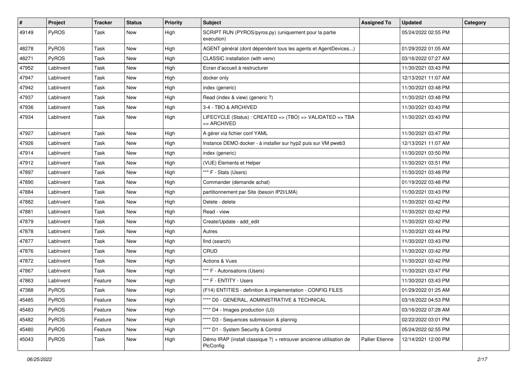| #     | Project   | <b>Tracker</b> | <b>Status</b> | <b>Priority</b> | Subject                                                                          | <b>Assigned To</b> | <b>Updated</b>      | Category |
|-------|-----------|----------------|---------------|-----------------|----------------------------------------------------------------------------------|--------------------|---------------------|----------|
| 49149 | PyROS     | Task           | New           | High            | SCRIPT RUN (PYROS/pyros.py) (uniquement pour la partie<br>execution)             |                    | 05/24/2022 02:55 PM |          |
| 48278 | PyROS     | Task           | New           | High            | AGENT général (dont dépendent tous les agents et AgentDevices)                   |                    | 01/29/2022 01:05 AM |          |
| 48271 | PyROS     | Task           | New           | High            | CLASSIC installation (with venv)                                                 |                    | 03/16/2022 07:27 AM |          |
| 47952 | LabInvent | Task           | <b>New</b>    | High            | Ecran d'accueil à restructurer                                                   |                    | 11/30/2021 03:43 PM |          |
| 47947 | LabInvent | Task           | New           | High            | docker only                                                                      |                    | 12/13/2021 11:07 AM |          |
| 47942 | LabInvent | Task           | New           | High            | index (generic)                                                                  |                    | 11/30/2021 03:48 PM |          |
| 47937 | LabInvent | Task           | New           | High            | Read (index & view) (generic ?)                                                  |                    | 11/30/2021 03:48 PM |          |
| 47936 | LabInvent | Task           | New           | High            | 3-4 - TBO & ARCHIVED                                                             |                    | 11/30/2021 03:43 PM |          |
| 47934 | LabInvent | Task           | <b>New</b>    | High            | LIFECYCLE (Status) : CREATED => (TBO) => VALIDATED => TBA<br>=> ARCHIVED         |                    | 11/30/2021 03:43 PM |          |
| 47927 | LabInvent | Task           | <b>New</b>    | High            | A gérer via fichier conf YAML                                                    |                    | 11/30/2021 03:47 PM |          |
| 47926 | LabInvent | Task           | New           | High            | Instance DEMO docker - à installer sur hyp2 puis sur VM pweb3                    |                    | 12/13/2021 11:07 AM |          |
| 47914 | LabInvent | Task           | <b>New</b>    | High            | index (generic)                                                                  |                    | 11/30/2021 03:50 PM |          |
| 47912 | LabInvent | Task           | New           | High            | (VUE) Elements et Helper                                                         |                    | 11/30/2021 03:51 PM |          |
| 47897 | LabInvent | Task           | New           | High            | *** F - Stats (Users)                                                            |                    | 11/30/2021 03:48 PM |          |
| 47890 | LabInvent | Task           | <b>New</b>    | High            | Commander (demande achat)                                                        |                    | 01/19/2022 03:48 PM |          |
| 47884 | LabInvent | Task           | New           | High            | partitionnement par Site (besoin IP2I/LMA)                                       |                    | 11/30/2021 03:43 PM |          |
| 47882 | LabInvent | Task           | New           | High            | Delete - delete                                                                  |                    | 11/30/2021 03:42 PM |          |
| 47881 | LabInvent | Task           | <b>New</b>    | High            | Read - view                                                                      |                    | 11/30/2021 03:42 PM |          |
| 47879 | LabInvent | Task           | New           | High            | Create/Update - add edit                                                         |                    | 11/30/2021 03:42 PM |          |
| 47878 | LabInvent | Task           | New           | High            | Autres                                                                           |                    | 11/30/2021 03:44 PM |          |
| 47877 | LabInvent | Task           | <b>New</b>    | High            | find (search)                                                                    |                    | 11/30/2021 03:43 PM |          |
| 47876 | LabInvent | Task           | New           | High            | CRUD                                                                             |                    | 11/30/2021 03:42 PM |          |
| 47872 | LabInvent | Task           | New           | High            | <b>Actions &amp; Vues</b>                                                        |                    | 11/30/2021 03:42 PM |          |
| 47867 | LabInvent | Task           | New           | High            | *** F - Autorisations (Users)                                                    |                    | 11/30/2021 03:47 PM |          |
| 47863 | LabInvent | Feature        | New           | High            | *** F - ENTITY - Users                                                           |                    | 11/30/2021 03:43 PM |          |
| 47388 | PyROS     | Task           | New           | High            | (F14) ENTITIES - definition & implementation - CONFIG FILES                      |                    | 01/29/2022 01:25 AM |          |
| 45485 | PyROS     | Feature        | New           | High            | **** D0 - GENERAL, ADMINISTRATIVE & TECHNICAL                                    |                    | 03/16/2022 04:53 PM |          |
| 45483 | PyROS     | Feature        | New           | High            | **** D4 - Images production (L0)                                                 |                    | 03/16/2022 07:28 AM |          |
| 45482 | PyROS     | Feature        | New           | High            | **** D3 - Sequences submission & plannig                                         |                    | 02/22/2022 03:01 PM |          |
| 45480 | PyROS     | Feature        | New           | High            | **** D1 - System Security & Control                                              |                    | 05/24/2022 02:55 PM |          |
| 45043 | PyROS     | Task           | New           | High            | Démo IRAP (install classique ?) + retrouver ancienne utilisation de<br>PlcConfig | Pallier Etienne    | 12/14/2021 12:00 PM |          |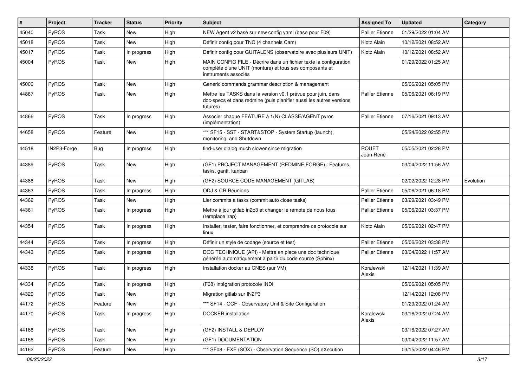| #     | Project      | <b>Tracker</b> | <b>Status</b> | <b>Priority</b> | Subject                                                                                                                                              | <b>Assigned To</b>        | <b>Updated</b>      | Category  |
|-------|--------------|----------------|---------------|-----------------|------------------------------------------------------------------------------------------------------------------------------------------------------|---------------------------|---------------------|-----------|
| 45040 | PyROS        | Task           | <b>New</b>    | High            | NEW Agent v2 basé sur new config yaml (base pour F09)                                                                                                | <b>Pallier Etienne</b>    | 01/29/2022 01:04 AM |           |
| 45018 | PyROS        | Task           | New           | High            | Définir config pour TNC (4 channels Cam)                                                                                                             | Klotz Alain               | 10/12/2021 08:52 AM |           |
| 45017 | <b>PyROS</b> | Task           | In progress   | High            | Définir config pour GUITALENS (observatoire avec plusieurs UNIT)                                                                                     | Klotz Alain               | 10/12/2021 08:52 AM |           |
| 45004 | PyROS        | Task           | New           | High            | MAIN CONFIG FILE - Décrire dans un fichier texte la configuration<br>complète d'une UNIT (monture) et tous ses composants et<br>instruments associés |                           | 01/29/2022 01:25 AM |           |
| 45000 | PyROS        | Task           | New           | High            | Generic commands grammar description & management                                                                                                    |                           | 05/06/2021 05:05 PM |           |
| 44867 | PyROS        | Task           | New           | High            | Mettre les TASKS dans la version v0.1 prévue pour juin, dans<br>doc-specs et dans redmine (puis planifier aussi les autres versions<br>futures)      | Pallier Etienne           | 05/06/2021 06:19 PM |           |
| 44866 | PyROS        | Task           | In progress   | High            | Associer chaque FEATURE à 1(N) CLASSE/AGENT pyros<br>(implémentation)                                                                                | Pallier Etienne           | 07/16/2021 09:13 AM |           |
| 44658 | PyROS        | Feature        | New           | High            | *** SF15 - SST - START&STOP - System Startup (launch),<br>monitoring, and Shutdown                                                                   |                           | 05/24/2022 02:55 PM |           |
| 44518 | IN2P3-Forge  | Bug            | In progress   | High            | find-user dialog much slower since migration                                                                                                         | <b>ROUET</b><br>Jean-René | 05/05/2021 02:28 PM |           |
| 44389 | PyROS        | Task           | <b>New</b>    | High            | (GF1) PROJECT MANAGEMENT (REDMINE FORGE) : Features,<br>tasks, gantt, kanban                                                                         |                           | 03/04/2022 11:56 AM |           |
| 44388 | PyROS        | Task           | New           | High            | (GF2) SOURCE CODE MANAGEMENT (GITLAB)                                                                                                                |                           | 02/02/2022 12:28 PM | Evolution |
| 44363 | PyROS        | Task           | In progress   | High            | ODJ & CR Réunions                                                                                                                                    | <b>Pallier Etienne</b>    | 05/06/2021 06:18 PM |           |
| 44362 | PyROS        | Task           | <b>New</b>    | High            | Lier commits à tasks (commit auto close tasks)                                                                                                       | <b>Pallier Etienne</b>    | 03/29/2021 03:49 PM |           |
| 44361 | PyROS        | Task           | In progress   | High            | Mettre à jour gitlab in2p3 et changer le remote de nous tous<br>(remplace irap)                                                                      | Pallier Etienne           | 05/06/2021 03:37 PM |           |
| 44354 | PyROS        | Task           | In progress   | High            | Installer, tester, faire fonctionner, et comprendre ce protocole sur<br>linux                                                                        | Klotz Alain               | 05/06/2021 02:47 PM |           |
| 44344 | PyROS        | Task           | In progress   | High            | Définir un style de codage (source et test)                                                                                                          | <b>Pallier Etienne</b>    | 05/06/2021 03:38 PM |           |
| 44343 | PyROS        | Task           | In progress   | High            | DOC TECHNIQUE (API) - Mettre en place une doc technique<br>générée automatiquement à partir du code source (Sphinx)                                  | <b>Pallier Etienne</b>    | 03/04/2022 11:57 AM |           |
| 44338 | PyROS        | Task           | In progress   | High            | Installation docker au CNES (sur VM)                                                                                                                 | Koralewski<br>Alexis      | 12/14/2021 11:39 AM |           |
| 44334 | PyROS        | Task           | In progress   | High            | (F08) Intégration protocole INDI                                                                                                                     |                           | 05/06/2021 05:05 PM |           |
| 44329 | PyROS        | Task           | New           | High            | Migration gitlab sur IN2P3                                                                                                                           |                           | 12/14/2021 12:08 PM |           |
| 44172 | PyROS        | Feature        | New           | High            | *** SF14 - OCF - Observatory Unit & Site Configuration                                                                                               |                           | 01/29/2022 01:24 AM |           |
| 44170 | PyROS        | Task           | In progress   | High            | <b>DOCKER</b> installation                                                                                                                           | Koralewski<br>Alexis      | 03/16/2022 07:24 AM |           |
| 44168 | PyROS        | Task           | New           | High            | (GF2) INSTALL & DEPLOY                                                                                                                               |                           | 03/16/2022 07:27 AM |           |
| 44166 | PyROS        | Task           | New           | High            | (GF1) DOCUMENTATION                                                                                                                                  |                           | 03/04/2022 11:57 AM |           |
| 44162 | PyROS        | Feature        | New           | High            | *** SF08 - EXE (SOX) - Observation Sequence (SO) eXecution                                                                                           |                           | 03/15/2022 04:46 PM |           |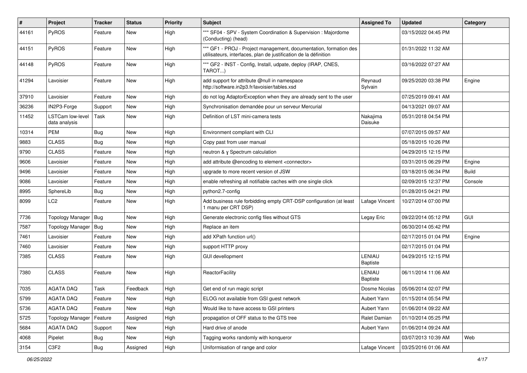| #     | Project                                  | <b>Tracker</b> | <b>Status</b> | <b>Priority</b> | Subject                                                                                                                               | <b>Assigned To</b>        | <b>Updated</b>      | Category   |
|-------|------------------------------------------|----------------|---------------|-----------------|---------------------------------------------------------------------------------------------------------------------------------------|---------------------------|---------------------|------------|
| 44161 | <b>PyROS</b>                             | Feature        | New           | High            | *** SF04 - SPV - System Coordination & Supervision : Majordome<br>(Conducting) (head)                                                 |                           | 03/15/2022 04:45 PM |            |
| 44151 | <b>PyROS</b>                             | Feature        | New           | High            | *** GF1 - PROJ - Project management, documentation, formation des<br>utilisateurs, interfaces, plan de justification de la définition |                           | 01/31/2022 11:32 AM |            |
| 44148 | <b>PyROS</b>                             | Feature        | <b>New</b>    | High            | *** GF2 - INST - Config, Install, udpate, deploy (IRAP, CNES,<br>TAROT)                                                               |                           | 03/16/2022 07:27 AM |            |
| 41294 | Lavoisier                                | Feature        | New           | High            | add support for attribute @null in namespace<br>http://software.in2p3.fr/lavoisier/tables.xsd                                         | Reynaud<br>Sylvain        | 09/25/2020 03:38 PM | Engine     |
| 37910 | Lavoisier                                | Feature        | <b>New</b>    | High            | do not log AdaptorException when they are already sent to the user                                                                    |                           | 07/25/2019 09:41 AM |            |
| 36236 | IN2P3-Forge                              | Support        | <b>New</b>    | High            | Synchronisation demandée pour un serveur Mercurial                                                                                    |                           | 04/13/2021 09:07 AM |            |
| 11452 | <b>LSTCam low-level</b><br>data analysis | Task           | New           | High            | Definition of LST mini-camera tests                                                                                                   | Nakajima<br>Daisuke       | 05/31/2018 04:54 PM |            |
| 10314 | <b>PEM</b>                               | Bug            | <b>New</b>    | High            | Environment compliant with CLI                                                                                                        |                           | 07/07/2015 09:57 AM |            |
| 9883  | <b>CLASS</b>                             | <b>Bug</b>     | New           | High            | Copy past from user manual                                                                                                            |                           | 05/18/2015 10:26 PM |            |
| 9790  | <b>CLASS</b>                             | Feature        | New           | High            | neutron & y Spectrum calculation                                                                                                      |                           | 04/29/2015 12:15 PM |            |
| 9606  | Lavoisier                                | Feature        | <b>New</b>    | High            | add attribute @encoding to element <connector></connector>                                                                            |                           | 03/31/2015 06:29 PM | Engine     |
| 9496  | Lavoisier                                | Feature        | New           | High            | upgrade to more recent version of JSW                                                                                                 |                           | 03/18/2015 06:34 PM | Build      |
| 9086  | Lavoisier                                | Feature        | <b>New</b>    | High            | enable refreshing all notifiable caches with one single click                                                                         |                           | 02/09/2015 12:37 PM | Console    |
| 8995  | SphereLib                                | <b>Bug</b>     | New           | High            | python2.7-config                                                                                                                      |                           | 01/28/2015 04:21 PM |            |
| 8099  | LC2                                      | Feature        | New           | High            | Add business rule forbidding empty CRT-DSP configuration (at least<br>1 manu per CRT DSP)                                             | Lafage Vincent            | 10/27/2014 07:00 PM |            |
| 7736  | <b>Topology Manager</b>                  | <b>Bug</b>     | New           | High            | Generate electronic config files without GTS                                                                                          | Legay Eric                | 09/22/2014 05:12 PM | <b>GUI</b> |
| 7587  | <b>Topology Manager</b>                  | <b>Bug</b>     | New           | High            | Replace an item                                                                                                                       |                           | 06/30/2014 05:42 PM |            |
| 7461  | Lavoisier                                | Feature        | New           | High            | add XPath function url()                                                                                                              |                           | 02/17/2015 01:04 PM | Engine     |
| 7460  | Lavoisier                                | Feature        | New           | High            | support HTTP proxy                                                                                                                    |                           | 02/17/2015 01:04 PM |            |
| 7385  | <b>CLASS</b>                             | Feature        | <b>New</b>    | High            | <b>GUI devellopment</b>                                                                                                               | LENIAU<br><b>Baptiste</b> | 04/29/2015 12:15 PM |            |
| 7380  | <b>CLASS</b>                             | Feature        | New           | High            | ReactorFacility                                                                                                                       | LENIAU<br><b>Baptiste</b> | 06/11/2014 11:06 AM |            |
| 7035  | <b>AGATA DAQ</b>                         | Task           | Feedback      | High            | Get end of run magic script                                                                                                           | Dosme Nicolas             | 05/06/2014 02:07 PM |            |
| 5799  | AGATA DAQ                                | Feature        | New           | High            | ELOG not available from GSI guest network                                                                                             | Aubert Yann               | 01/15/2014 05:54 PM |            |
| 5736  | AGATA DAQ                                | Feature        | New           | High            | Would like to have access to GSI printers                                                                                             | Aubert Yann               | 01/06/2014 09:22 AM |            |
| 5725  | Topology Manager                         | Feature        | Assigned      | High            | propagation of OFF status to the GTS tree                                                                                             | Ralet Damian              | 01/10/2014 05:25 PM |            |
| 5684  | AGATA DAQ                                | Support        | New           | High            | Hard drive of anode                                                                                                                   | Aubert Yann               | 01/06/2014 09:24 AM |            |
| 4068  | Pipelet                                  | <b>Bug</b>     | New           | High            | Tagging works randomly with konqueror                                                                                                 |                           | 03/07/2013 10:39 AM | Web        |
| 3154  | C3F2                                     | Bug            | Assigned      | High            | Uniformisation of range and color                                                                                                     | Lafage Vincent            | 03/25/2016 01:06 AM |            |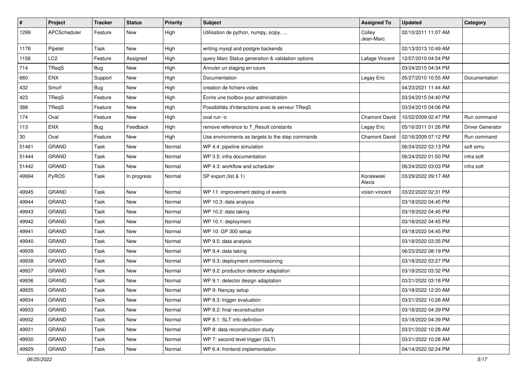| #     | Project         | <b>Tracker</b> | <b>Status</b> | <b>Priority</b> | Subject                                           | <b>Assigned To</b>   | <b>Updated</b>      | Category                |
|-------|-----------------|----------------|---------------|-----------------|---------------------------------------------------|----------------------|---------------------|-------------------------|
| 1299  | APCScheduler    | Feature        | New           | High            | Utilisation de python, numpy, scipy,              | Colley<br>Jean-Marc  | 02/10/2011 11:07 AM |                         |
| 1178  | Pipelet         | Task           | New           | High            | writing mysql and postgre backends                |                      | 02/13/2013 10:49 AM |                         |
| 1156  | LC <sub>2</sub> | Feature        | Assigned      | High            | query Marc Status generation & validation options | Lafage Vincent       | 12/07/2010 04:54 PM |                         |
| 714   | TReqS           | Bug            | New           | High            | Annuler un staging en cours                       |                      | 03/24/2015 04:34 PM |                         |
| 660   | <b>ENX</b>      | Support        | New           | High            | Documentation                                     | Legay Eric           | 05/27/2010 10:55 AM | Documentation           |
| 432   | Smurf           | <b>Bug</b>     | <b>New</b>    | High            | creation de fichiers vides                        |                      | 04/23/2021 11:44 AM |                         |
| 423   | TReqS           | Feature        | New           | High            | Écrire une toolbox pour administration            |                      | 03/24/2015 04:40 PM |                         |
| 388   | TReqS           | Feature        | <b>New</b>    | High            | Possibilités d'interactions avec le serveur TReqS |                      | 03/24/2015 04:06 PM |                         |
| 174   | Oval            | Feature        | New           | High            | oval run -o                                       | <b>Chamont David</b> | 10/02/2009 02:47 PM | Run command             |
| 113   | <b>ENX</b>      | Bug            | Feedback      | High            | remove reference to T_Result constants            | Legay Eric           | 05/16/2011 01:26 PM | <b>Driver Generator</b> |
| 30    | Oval            | Feature        | <b>New</b>    | High            | Use environments as targets to the step commands  | <b>Chamont David</b> | 02/16/2009 07:12 PM | Run command             |
| 51461 | <b>GRAND</b>    | Task           | New           | Normal          | WP 4.4: pipeline simulation                       |                      | 06/24/2022 03:13 PM | soft simu               |
| 51444 | <b>GRAND</b>    | Task           | <b>New</b>    | Normal          | WP 3.5: infra documentation                       |                      | 06/24/2022 01:50 PM | infra soft              |
| 51442 | <b>GRAND</b>    | Task           | <b>New</b>    | Normal          | WP 4.3: workflow and scheduler                    |                      | 06/24/2022 03:03 PM | infra soft              |
| 49994 | <b>PyROS</b>    | Task           | In progress   | Normal          | SP export (list & 1)                              | Koralewski<br>Alexis | 03/29/2022 09:17 AM |                         |
| 49945 | <b>GRAND</b>    | Task           | New           | Normal          | WP 11: improvement dating of events               | voisin vincent       | 03/22/2022 02:31 PM |                         |
| 49944 | <b>GRAND</b>    | Task           | New           | Normal          | WP 10.3: data analysis                            |                      | 03/18/2022 04:45 PM |                         |
| 49943 | <b>GRAND</b>    | Task           | <b>New</b>    | Normal          | WP 10.2: data taking                              |                      | 03/18/2022 04:45 PM |                         |
| 49942 | <b>GRAND</b>    | Task           | New           | Normal          | WP 10.1: deployment                               |                      | 03/18/2022 04:45 PM |                         |
| 49941 | <b>GRAND</b>    | Task           | <b>New</b>    | Normal          | WP 10: GP 300 setup                               |                      | 03/18/2022 04:45 PM |                         |
| 49940 | <b>GRAND</b>    | Task           | <b>New</b>    | Normal          | WP 9.5: data analysis                             |                      | 03/18/2022 03:35 PM |                         |
| 49939 | <b>GRAND</b>    | Task           | New           | Normal          | WP 9.4: data taking                               |                      | 06/23/2022 08:19 PM |                         |
| 49938 | <b>GRAND</b>    | Task           | <b>New</b>    | Normal          | WP 9.3: deployment commissioning                  |                      | 03/18/2022 03:27 PM |                         |
| 49937 | <b>GRAND</b>    | Task           | New           | Normal          | WP 9.2: production detector adaptation            |                      | 03/18/2022 03:32 PM |                         |
| 49936 | <b>GRAND</b>    | Task           | <b>New</b>    | Normal          | WP 9.1: detector design adaptation                |                      | 03/21/2022 03:18 PM |                         |
| 49935 | <b>GRAND</b>    | Task           | <b>New</b>    | Normal          | WP 9: Nançay setup                                |                      | 03/18/2022 12:20 AM |                         |
| 49934 | <b>GRAND</b>    | Task           | New           | Normal          | WP 8.3: trigger evaluation                        |                      | 03/21/2022 10:28 AM |                         |
| 49933 | <b>GRAND</b>    | Task           | New           | Normal          | WP 8.2: final reconstruction                      |                      | 03/18/2022 04:39 PM |                         |
| 49932 | GRAND           | Task           | New           | Normal          | WP 8.1: SLT info definition                       |                      | 03/18/2022 04:39 PM |                         |
| 49931 | GRAND           | Task           | New           | Normal          | WP 8: data reconstruction study                   |                      | 03/21/2022 10:28 AM |                         |
| 49930 | GRAND           | Task           | New           | Normal          | WP 7: second level trigger (SLT)                  |                      | 03/21/2022 10:28 AM |                         |
| 49929 | GRAND           | Task           | New           | Normal          | WP 6.4: frontend implementation                   |                      | 04/14/2022 02:24 PM |                         |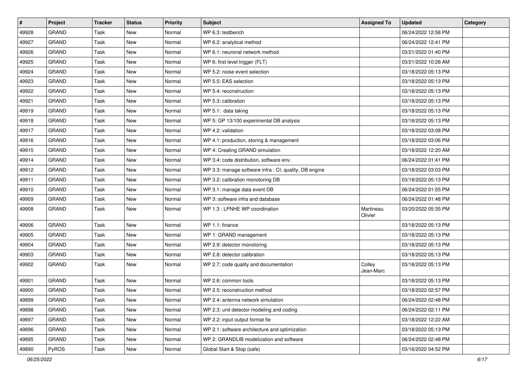| #     | Project      | <b>Tracker</b> | <b>Status</b> | <b>Priority</b> | Subject                                                | <b>Assigned To</b>   | <b>Updated</b>      | Category |
|-------|--------------|----------------|---------------|-----------------|--------------------------------------------------------|----------------------|---------------------|----------|
| 49928 | <b>GRAND</b> | <b>Task</b>    | <b>New</b>    | Normal          | WP 6.3: testbench                                      |                      | 06/24/2022 12:58 PM |          |
| 49927 | <b>GRAND</b> | Task           | New           | Normal          | WP 6.2: analytical method                              |                      | 06/24/2022 12:41 PM |          |
| 49926 | <b>GRAND</b> | Task           | New           | Normal          | WP 6.1: neuronal network method                        |                      | 03/21/2022 01:40 PM |          |
| 49925 | GRAND        | Task           | <b>New</b>    | Normal          | WP 6: first level trigger (FLT)                        |                      | 03/21/2022 10:28 AM |          |
| 49924 | <b>GRAND</b> | Task           | <b>New</b>    | Normal          | WP 5.2: noise event selection                          |                      | 03/18/2022 05:13 PM |          |
| 49923 | <b>GRAND</b> | Task           | <b>New</b>    | Normal          | WP 5.5: EAS selection                                  |                      | 03/18/2022 05:13 PM |          |
| 49922 | <b>GRAND</b> | Task           | <b>New</b>    | Normal          | WP 5.4: reconstruction                                 |                      | 03/18/2022 05:13 PM |          |
| 49921 | <b>GRAND</b> | Task           | New           | Normal          | WP 5.3: calibration                                    |                      | 03/18/2022 05:13 PM |          |
| 49919 | GRAND        | Task           | <b>New</b>    | Normal          | WP 5.1: data taking                                    |                      | 03/18/2022 05:13 PM |          |
| 49918 | <b>GRAND</b> | Task           | <b>New</b>    | Normal          | WP 5: GP 13/100 experimental DB analysis               |                      | 03/18/2022 05:13 PM |          |
| 49917 | <b>GRAND</b> | Task           | <b>New</b>    | Normal          | WP 4.2: validation                                     |                      | 03/18/2022 03:08 PM |          |
| 49916 | <b>GRAND</b> | Task           | <b>New</b>    | Normal          | WP 4.1: production, storing & management               |                      | 03/18/2022 03:06 PM |          |
| 49915 | <b>GRAND</b> | Task           | <b>New</b>    | Normal          | WP 4: Creating GRAND simulation                        |                      | 03/18/2022 12:20 AM |          |
| 49914 | <b>GRAND</b> | Task           | <b>New</b>    | Normal          | WP 3.4: code distribution, software env.               |                      | 06/24/2022 01:41 PM |          |
| 49912 | <b>GRAND</b> | Task           | <b>New</b>    | Normal          | WP 3.3: manage software infra : CI, quality, DB engine |                      | 03/18/2022 03:03 PM |          |
| 49911 | <b>GRAND</b> | Task           | New           | Normal          | WP 3.2: calibration monotoring DB                      |                      | 03/18/2022 05:13 PM |          |
| 49910 | GRAND        | Task           | <b>New</b>    | Normal          | WP 3.1: manage data event DB                           |                      | 06/24/2022 01:55 PM |          |
| 49909 | <b>GRAND</b> | Task           | <b>New</b>    | Normal          | WP 3: software infra and database                      |                      | 06/24/2022 01:48 PM |          |
| 49908 | <b>GRAND</b> | Task           | New           | Normal          | WP 1.3 : LPNHE WP coordination                         | Martineau<br>Olivier | 03/20/2022 05:35 PM |          |
| 49906 | GRAND        | Task           | <b>New</b>    | Normal          | WP 1.1: finance                                        |                      | 03/18/2022 05:13 PM |          |
| 49905 | <b>GRAND</b> | Task           | <b>New</b>    | Normal          | WP 1: GRAND management                                 |                      | 03/18/2022 05:13 PM |          |
| 49904 | <b>GRAND</b> | Task           | <b>New</b>    | Normal          | WP 2.9: detector monotoring                            |                      | 03/18/2022 05:13 PM |          |
| 49903 | <b>GRAND</b> | Task           | New           | Normal          | WP 2.8: detector calibration                           |                      | 03/18/2022 05:13 PM |          |
| 49902 | <b>GRAND</b> | Task           | New           | Normal          | WP 2.7: code quality and documentation                 | Colley<br>Jean-Marc  | 03/18/2022 05:13 PM |          |
| 49901 | GRAND        | <b>Task</b>    | <b>New</b>    | Normal          | WP 2.6: common tools                                   |                      | 03/18/2022 05:13 PM |          |
| 49900 | <b>GRAND</b> | Task           | <b>New</b>    | Normal          | WP 2.5: reconstruction method                          |                      | 03/18/2022 02:57 PM |          |
| 49899 | <b>GRAND</b> | Task           | New           | Normal          | WP 2.4: antenna network simulation                     |                      | 06/24/2022 02:48 PM |          |
| 49898 | GRAND        | Task           | New           | Normal          | WP 2.3: unit detector modeling and coding              |                      | 06/24/2022 02:11 PM |          |
| 49897 | GRAND        | Task           | New           | Normal          | WP 2.2: input output format fie                        |                      | 03/18/2022 12:22 AM |          |
| 49896 | GRAND        | Task           | New           | Normal          | WP 2.1: software architecture and optimization         |                      | 03/18/2022 05:13 PM |          |
| 49895 | GRAND        | Task           | New           | Normal          | WP 2: GRANDLIB modelization and software               |                      | 06/24/2022 02:48 PM |          |
| 49890 | PyROS        | Task           | New           | Normal          | Global Start & Stop (safe)                             |                      | 03/16/2022 04:52 PM |          |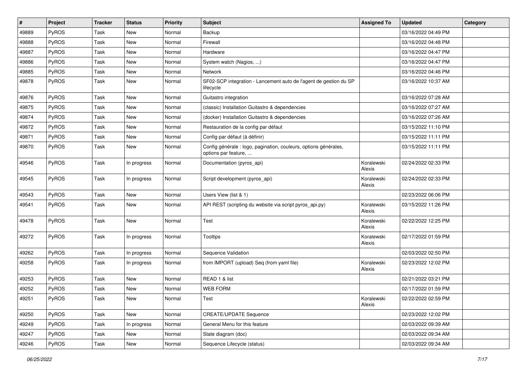| #     | Project      | <b>Tracker</b> | <b>Status</b> | <b>Priority</b> | <b>Subject</b>                                                                           | <b>Assigned To</b>   | <b>Updated</b>      | Category |
|-------|--------------|----------------|---------------|-----------------|------------------------------------------------------------------------------------------|----------------------|---------------------|----------|
| 49889 | <b>PyROS</b> | Task           | <b>New</b>    | Normal          | Backup                                                                                   |                      | 03/16/2022 04:49 PM |          |
| 49888 | PyROS        | Task           | <b>New</b>    | Normal          | Firewall                                                                                 |                      | 03/16/2022 04:48 PM |          |
| 49887 | PyROS        | Task           | New           | Normal          | Hardware                                                                                 |                      | 03/16/2022 04:47 PM |          |
| 49886 | PyROS        | Task           | <b>New</b>    | Normal          | System watch (Nagios, )                                                                  |                      | 03/16/2022 04:47 PM |          |
| 49885 | <b>PyROS</b> | Task           | <b>New</b>    | Normal          | Network                                                                                  |                      | 03/16/2022 04:46 PM |          |
| 49878 | PyROS        | Task           | New           | Normal          | SF02-SCP integration - Lancement auto de l'agent de gestion du SP<br>lifecycle           |                      | 03/16/2022 10:37 AM |          |
| 49876 | PyROS        | Task           | New           | Normal          | Guitastro integration                                                                    |                      | 03/16/2022 07:28 AM |          |
| 49875 | <b>PyROS</b> | Task           | New           | Normal          | (classic) Installation Guitastro & dependencies                                          |                      | 03/16/2022 07:27 AM |          |
| 49874 | PyROS        | Task           | New           | Normal          | (docker) Installation Guitastro & dependencies                                           |                      | 03/16/2022 07:26 AM |          |
| 49872 | PyROS        | Task           | New           | Normal          | Restauration de la config par défaut                                                     |                      | 03/15/2022 11:10 PM |          |
| 49871 | PyROS        | Task           | New           | Normal          | Config par défaut (à définir)                                                            |                      | 03/15/2022 11:11 PM |          |
| 49870 | PyROS        | Task           | New           | Normal          | Config générale : logo, pagination, couleurs, options générales,<br>options par feature, |                      | 03/15/2022 11:11 PM |          |
| 49546 | PyROS        | Task           | In progress   | Normal          | Documentation (pyros_api)                                                                | Koralewski<br>Alexis | 02/24/2022 02:33 PM |          |
| 49545 | PyROS        | Task           | In progress   | Normal          | Script development (pyros_api)                                                           | Koralewski<br>Alexis | 02/24/2022 02:33 PM |          |
| 49543 | PyROS        | Task           | New           | Normal          | Users View (list & 1)                                                                    |                      | 02/23/2022 06:06 PM |          |
| 49541 | PyROS        | Task           | New           | Normal          | API REST (scripting du website via script pyros_api.py)                                  | Koralewski<br>Alexis | 03/15/2022 11:26 PM |          |
| 49478 | PyROS        | Task           | New           | Normal          | <b>Test</b>                                                                              | Koralewski<br>Alexis | 02/22/2022 12:25 PM |          |
| 49272 | PyROS        | Task           | In progress   | Normal          | <b>Tooltips</b>                                                                          | Koralewski<br>Alexis | 02/17/2022 01:59 PM |          |
| 49262 | PyROS        | Task           | In progress   | Normal          | Sequence Validation                                                                      |                      | 02/03/2022 02:50 PM |          |
| 49258 | PyROS        | Task           | In progress   | Normal          | from IMPORT (upload) Seq (from yaml file)                                                | Koralewski<br>Alexis | 02/23/2022 12:02 PM |          |
| 49253 | PyROS        | Task           | New           | Normal          | READ 1 & list                                                                            |                      | 02/21/2022 03:21 PM |          |
| 49252 | PyROS        | Task           | New           | Normal          | <b>WEB FORM</b>                                                                          |                      | 02/17/2022 01:59 PM |          |
| 49251 | PyROS        | Task           | New           | Normal          | Test                                                                                     | Koralewski<br>Alexis | 02/22/2022 02:59 PM |          |
| 49250 | PyROS        | Task           | New           | Normal          | <b>CREATE/UPDATE Sequence</b>                                                            |                      | 02/23/2022 12:02 PM |          |
| 49249 | PyROS        | Task           | In progress   | Normal          | General Menu for this feature                                                            |                      | 02/03/2022 09:39 AM |          |
| 49247 | PyROS        | Task           | New           | Normal          | State diagram (doc)                                                                      |                      | 02/03/2022 09:34 AM |          |
| 49246 | PyROS        | Task           | New           | Normal          | Sequence Lifecycle (status)                                                              |                      | 02/03/2022 09:34 AM |          |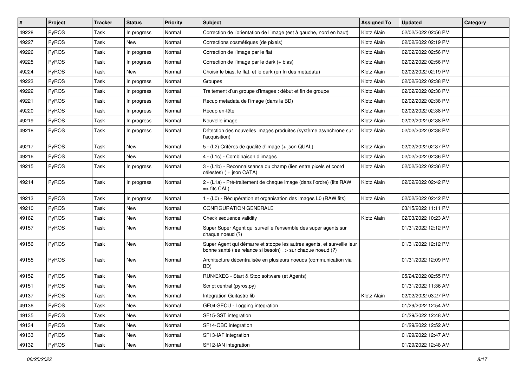| #     | Project      | <b>Tracker</b> | <b>Status</b> | <b>Priority</b> | Subject                                                                                                                               | <b>Assigned To</b> | <b>Updated</b>      | Category |
|-------|--------------|----------------|---------------|-----------------|---------------------------------------------------------------------------------------------------------------------------------------|--------------------|---------------------|----------|
| 49228 | PyROS        | Task           | In progress   | Normal          | Correction de l'orientation de l'image (est à gauche, nord en haut)                                                                   | Klotz Alain        | 02/02/2022 02:56 PM |          |
| 49227 | PyROS        | Task           | <b>New</b>    | Normal          | Corrections cosmétiques (de pixels)                                                                                                   | Klotz Alain        | 02/02/2022 02:19 PM |          |
| 49226 | PyROS        | Task           | In progress   | Normal          | Correction de l'image par le flat                                                                                                     | Klotz Alain        | 02/02/2022 02:56 PM |          |
| 49225 | PyROS        | Task           | In progress   | Normal          | Correction de l'image par le dark (+ bias)                                                                                            | Klotz Alain        | 02/02/2022 02:56 PM |          |
| 49224 | PyROS        | Task           | <b>New</b>    | Normal          | Choisir le bias, le flat, et le dark (en fn des metadata)                                                                             | Klotz Alain        | 02/02/2022 02:19 PM |          |
| 49223 | <b>PyROS</b> | Task           | In progress   | Normal          | Groupes                                                                                                                               | Klotz Alain        | 02/02/2022 02:38 PM |          |
| 49222 | PyROS        | Task           | In progress   | Normal          | Traitement d'un groupe d'images : début et fin de groupe                                                                              | Klotz Alain        | 02/02/2022 02:38 PM |          |
| 49221 | PyROS        | Task           | In progress   | Normal          | Recup metadata de l'image (dans la BD)                                                                                                | Klotz Alain        | 02/02/2022 02:38 PM |          |
| 49220 | PyROS        | Task           | In progress   | Normal          | Récup en-tête                                                                                                                         | Klotz Alain        | 02/02/2022 02:38 PM |          |
| 49219 | PyROS        | Task           | In progress   | Normal          | Nouvelle image                                                                                                                        | Klotz Alain        | 02/02/2022 02:38 PM |          |
| 49218 | <b>PyROS</b> | Task           | In progress   | Normal          | Détection des nouvelles images produites (système asynchrone sur<br>l'acquisition)                                                    | Klotz Alain        | 02/02/2022 02:38 PM |          |
| 49217 | PyROS        | Task           | <b>New</b>    | Normal          | 5 - (L2) Critères de qualité d'image (+ json QUAL)                                                                                    | Klotz Alain        | 02/02/2022 02:37 PM |          |
| 49216 | PyROS        | Task           | New           | Normal          | 4 - (L1c) - Combinaison d'images                                                                                                      | Klotz Alain        | 02/02/2022 02:36 PM |          |
| 49215 | PyROS        | Task           | In progress   | Normal          | 3 - (L1b) - Reconnaissance du champ (lien entre pixels et coord<br>célestes) (+ json CATA)                                            | Klotz Alain        | 02/02/2022 02:36 PM |          |
| 49214 | PyROS        | Task           | In progress   | Normal          | 2 - (L1a) - Pré-traitement de chaque image (dans l'ordre) (fits RAW<br>=> fits CAL)                                                   | Klotz Alain        | 02/02/2022 02:42 PM |          |
| 49213 | PyROS        | Task           | In progress   | Normal          | 1 - (L0) - Récupération et organisation des images L0 (RAW fits)                                                                      | Klotz Alain        | 02/02/2022 02:42 PM |          |
| 49210 | PyROS        | Task           | <b>New</b>    | Normal          | <b>CONFIGURATION GENERALE</b>                                                                                                         |                    | 03/15/2022 11:11 PM |          |
| 49162 | PyROS        | Task           | <b>New</b>    | Normal          | Check sequence validity                                                                                                               | Klotz Alain        | 02/03/2022 10:23 AM |          |
| 49157 | PyROS        | Task           | New           | Normal          | Super Super Agent qui surveille l'ensemble des super agents sur<br>chaque noeud (?)                                                   |                    | 01/31/2022 12:12 PM |          |
| 49156 | PyROS        | Task           | New           | Normal          | Super Agent qui démarre et stoppe les autres agents, et surveille leur<br>bonne santé (les relance si besoin) => sur chaque noeud (?) |                    | 01/31/2022 12:12 PM |          |
| 49155 | PyROS        | Task           | New           | Normal          | Architecture décentralisée en plusieurs noeuds (communication via<br>BD)                                                              |                    | 01/31/2022 12:09 PM |          |
| 49152 | PyROS        | Task           | New           | Normal          | RUN/EXEC - Start & Stop software (et Agents)                                                                                          |                    | 05/24/2022 02:55 PM |          |
| 49151 | PyROS        | Task           | <b>New</b>    | Normal          | Script central (pyros.py)                                                                                                             |                    | 01/31/2022 11:36 AM |          |
| 49137 | PyROS        | Task           | New           | Normal          | Integration Guitastro lib                                                                                                             | Klotz Alain        | 02/02/2022 03:27 PM |          |
| 49136 | PyROS        | Task           | New           | Normal          | GF04-SECU - Logging integration                                                                                                       |                    | 01/29/2022 12:54 AM |          |
| 49135 | PyROS        | Task           | New           | Normal          | SF15-SST integration                                                                                                                  |                    | 01/29/2022 12:48 AM |          |
| 49134 | PyROS        | Task           | New           | Normal          | SF14-OBC integration                                                                                                                  |                    | 01/29/2022 12:52 AM |          |
| 49133 | PyROS        | Task           | New           | Normal          | SF13-IAF integration                                                                                                                  |                    | 01/29/2022 12:47 AM |          |
| 49132 | PyROS        | Task           | New           | Normal          | SF12-IAN integration                                                                                                                  |                    | 01/29/2022 12:48 AM |          |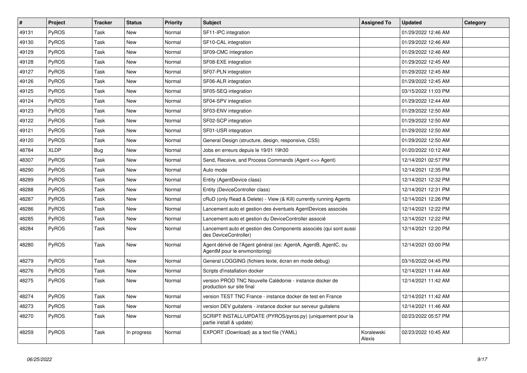| $\vert$ # | <b>Project</b> | <b>Tracker</b> | <b>Status</b> | <b>Priority</b> | <b>Subject</b>                                                                                   | <b>Assigned To</b>   | <b>Updated</b>      | Category |
|-----------|----------------|----------------|---------------|-----------------|--------------------------------------------------------------------------------------------------|----------------------|---------------------|----------|
| 49131     | PyROS          | Task           | <b>New</b>    | Normal          | SF11-IPC integration                                                                             |                      | 01/29/2022 12:46 AM |          |
| 49130     | PyROS          | Task           | <b>New</b>    | Normal          | SF10-CAL integration                                                                             |                      | 01/29/2022 12:46 AM |          |
| 49129     | <b>PyROS</b>   | Task           | <b>New</b>    | Normal          | SF09-CMC integration                                                                             |                      | 01/29/2022 12:46 AM |          |
| 49128     | <b>PyROS</b>   | Task           | <b>New</b>    | Normal          | SF08-EXE integration                                                                             |                      | 01/29/2022 12:45 AM |          |
| 49127     | PyROS          | Task           | <b>New</b>    | Normal          | SF07-PLN integration                                                                             |                      | 01/29/2022 12:45 AM |          |
| 49126     | PyROS          | Task           | <b>New</b>    | Normal          | SF06-ALR integration                                                                             |                      | 01/29/2022 12:45 AM |          |
| 49125     | <b>PyROS</b>   | Task           | <b>New</b>    | Normal          | SF05-SEQ integration                                                                             |                      | 03/15/2022 11:03 PM |          |
| 49124     | <b>PyROS</b>   | Task           | New           | Normal          | SF04-SPV integration                                                                             |                      | 01/29/2022 12:44 AM |          |
| 49123     | PyROS          | Task           | <b>New</b>    | Normal          | SF03-ENV integration                                                                             |                      | 01/29/2022 12:50 AM |          |
| 49122     | PyROS          | Task           | <b>New</b>    | Normal          | SF02-SCP integration                                                                             |                      | 01/29/2022 12:50 AM |          |
| 49121     | PyROS          | Task           | <b>New</b>    | Normal          | SF01-USR integration                                                                             |                      | 01/29/2022 12:50 AM |          |
| 49120     | <b>PyROS</b>   | Task           | <b>New</b>    | Normal          | General Design (structure, design, responsive, CSS)                                              |                      | 01/29/2022 12:50 AM |          |
| 48784     | <b>XLDP</b>    | Bug            | <b>New</b>    | Normal          | Jobs en erreurs depuis le 19/01 19h30                                                            |                      | 01/20/2022 10:12 AM |          |
| 48307     | PyROS          | Task           | <b>New</b>    | Normal          | Send, Receive, and Process Commands (Agent <= > Agent)                                           |                      | 12/14/2021 02:57 PM |          |
| 48290     | <b>PyROS</b>   | Task           | <b>New</b>    | Normal          | Auto mode                                                                                        |                      | 12/14/2021 12:35 PM |          |
| 48289     | <b>PyROS</b>   | Task           | <b>New</b>    | Normal          | Entity (AgentDevice class)                                                                       |                      | 12/14/2021 12:32 PM |          |
| 48288     | PyROS          | Task           | <b>New</b>    | Normal          | Entity (DeviceController class)                                                                  |                      | 12/14/2021 12:31 PM |          |
| 48287     | PyROS          | Task           | <b>New</b>    | Normal          | cRuD (only Read & Delete) - View (& Kill) currently running Agents                               |                      | 12/14/2021 12:26 PM |          |
| 48286     | <b>PyROS</b>   | Task           | <b>New</b>    | Normal          | Lancement auto et gestion des éventuels AgentDevices associés                                    |                      | 12/14/2021 12:22 PM |          |
| 48285     | PyROS          | Task           | <b>New</b>    | Normal          | Lancement auto et gestion du DeviceController associé                                            |                      | 12/14/2021 12:22 PM |          |
| 48284     | PyROS          | Task           | <b>New</b>    | Normal          | Lancement auto et gestion des Components associés (qui sont aussi<br>des DeviceController)       |                      | 12/14/2021 12:20 PM |          |
| 48280     | <b>PyROS</b>   | Task           | New           | Normal          | Agent dérivé de l'Agent général (ex: AgentA, AgentB, AgentC, ou<br>AgentM pour le envmonitoring) |                      | 12/14/2021 03:00 PM |          |
| 48279     | PyROS          | Task           | <b>New</b>    | Normal          | General LOGGING (fichiers texte, écran en mode debug)                                            |                      | 03/16/2022 04:45 PM |          |
| 48276     | <b>PyROS</b>   | Task           | New           | Normal          | Scripts d'installation docker                                                                    |                      | 12/14/2021 11:44 AM |          |
| 48275     | PyROS          | Task           | <b>New</b>    | Normal          | version PROD TNC Nouvelle Calédonie - instance docker de<br>production sur site final            |                      | 12/14/2021 11:42 AM |          |
| 48274     | PyROS          | Task           | <b>New</b>    | Normal          | version TEST TNC France - instance docker de test en France                                      |                      | 12/14/2021 11:42 AM |          |
| 48273     | <b>PyROS</b>   | Task           | <b>New</b>    | Normal          | version DEV guitalens - instance docker sur serveur guitalens                                    |                      | 12/14/2021 11:46 AM |          |
| 48270     | <b>PyROS</b>   | Task           | New           | Normal          | SCRIPT INSTALL/UPDATE (PYROS/pyros.py) (uniquement pour la<br>partie install & update)           |                      | 02/23/2022 05:57 PM |          |
| 48259     | <b>PyROS</b>   | Task           | In progress   | Normal          | EXPORT (Download) as a text file (YAML)                                                          | Koralewski<br>Alexis | 02/23/2022 10:45 AM |          |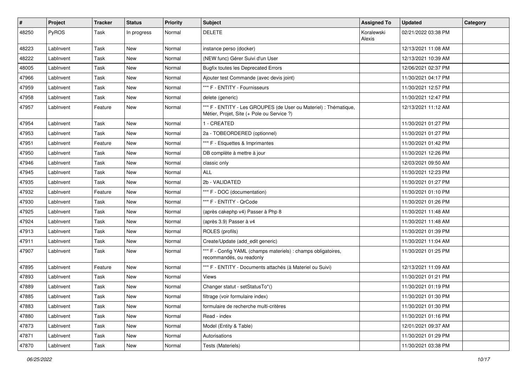| $\pmb{\#}$ | <b>Project</b> | <b>Tracker</b> | <b>Status</b> | <b>Priority</b> | <b>Subject</b>                                                                                                 | <b>Assigned To</b>   | <b>Updated</b>      | Category |
|------------|----------------|----------------|---------------|-----------------|----------------------------------------------------------------------------------------------------------------|----------------------|---------------------|----------|
| 48250      | PyROS          | Task           | In progress   | Normal          | <b>DELETE</b>                                                                                                  | Koralewski<br>Alexis | 02/21/2022 03:38 PM |          |
| 48223      | LabInvent      | Task           | New           | Normal          | instance perso (docker)                                                                                        |                      | 12/13/2021 11:08 AM |          |
| 48222      | Lablnvent      | Task           | New           | Normal          | (NEW func) Gérer Suivi d'un User                                                                               |                      | 12/13/2021 10:39 AM |          |
| 48005      | Lablnvent      | Task           | New           | Normal          | <b>Bugfix toutes les Deprecated Errors</b>                                                                     |                      | 12/06/2021 02:37 PM |          |
| 47966      | Lablnvent      | Task           | <b>New</b>    | Normal          | Ajouter test Commande (avec devis joint)                                                                       |                      | 11/30/2021 04:17 PM |          |
| 47959      | Lablnvent      | Task           | New           | Normal          | *** F - ENTITY - Fournisseurs                                                                                  |                      | 11/30/2021 12:57 PM |          |
| 47958      | Lablnvent      | Task           | New           | Normal          | delete (generic)                                                                                               |                      | 11/30/2021 12:47 PM |          |
| 47957      | LabInvent      | Feature        | New           | Normal          | *** F - ENTITY - Les GROUPES (de User ou Materiel) : Thématique,<br>Métier, Projet, Site (+ Pole ou Service ?) |                      | 12/13/2021 11:12 AM |          |
| 47954      | Lablnvent      | Task           | <b>New</b>    | Normal          | 1 - CREATED                                                                                                    |                      | 11/30/2021 01:27 PM |          |
| 47953      | Lablnvent      | Task           | New           | Normal          | 2a - TOBEORDERED (optionnel)                                                                                   |                      | 11/30/2021 01:27 PM |          |
| 47951      | Lablnvent      | Feature        | New           | Normal          | *** F - Etiquettes & Imprimantes                                                                               |                      | 11/30/2021 01:42 PM |          |
| 47950      | LabInvent      | Task           | <b>New</b>    | Normal          | DB complète à mettre à jour                                                                                    |                      | 11/30/2021 12:26 PM |          |
| 47946      | Lablnvent      | Task           | <b>New</b>    | Normal          | classic only                                                                                                   |                      | 12/03/2021 09:50 AM |          |
| 47945      | LabInvent      | Task           | New           | Normal          | <b>ALL</b>                                                                                                     |                      | 11/30/2021 12:23 PM |          |
| 47935      | LabInvent      | Task           | New           | Normal          | 2b - VALIDATED                                                                                                 |                      | 11/30/2021 01:27 PM |          |
| 47932      | Lablnvent      | Feature        | <b>New</b>    | Normal          | *** F - DOC (documentation)                                                                                    |                      | 11/30/2021 01:10 PM |          |
| 47930      | LabInvent      | Task           | New           | Normal          | *** F - ENTITY - QrCode                                                                                        |                      | 11/30/2021 01:26 PM |          |
| 47925      | LabInvent      | Task           | <b>New</b>    | Normal          | (après cakephp v4) Passer à Php 8                                                                              |                      | 11/30/2021 11:48 AM |          |
| 47924      | LabInvent      | Task           | <b>New</b>    | Normal          | (après 3.9) Passer à v4                                                                                        |                      | 11/30/2021 11:48 AM |          |
| 47913      | Lablnvent      | Task           | New           | Normal          | ROLES (profils)                                                                                                |                      | 11/30/2021 01:39 PM |          |
| 47911      | LabInvent      | Task           | <b>New</b>    | Normal          | Create/Update (add_edit generic)                                                                               |                      | 11/30/2021 11:04 AM |          |
| 47907      | LabInvent      | Task           | New           | Normal          | *** F - Config YAML (champs materiels) : champs obligatoires,<br>recommandés, ou readonly                      |                      | 11/30/2021 01:25 PM |          |
| 47895      | Lablnvent      | Feature        | New           | Normal          | *** F - ENTITY - Documents attachés (à Materiel ou Suivi)                                                      |                      | 12/13/2021 11:09 AM |          |
| 47893      | LabInvent      | Task           | New           | Normal          | Views                                                                                                          |                      | 11/30/2021 01:21 PM |          |
| 47889      | LabInvent      | Task           | New           | Normal          | Changer statut - setStatusTo*()                                                                                |                      | 11/30/2021 01:19 PM |          |
| 47885      | LabInvent      | Task           | New           | Normal          | filtrage (voir formulaire index)                                                                               |                      | 11/30/2021 01:30 PM |          |
| 47883      | Lablnvent      | Task           | New           | Normal          | formulaire de recherche multi-critères                                                                         |                      | 11/30/2021 01:30 PM |          |
| 47880      | LabInvent      | Task           | New           | Normal          | Read - index                                                                                                   |                      | 11/30/2021 01:16 PM |          |
| 47873      | LabInvent      | Task           | New           | Normal          | Model (Entity & Table)                                                                                         |                      | 12/01/2021 09:37 AM |          |
| 47871      | Lablnvent      | Task           | New           | Normal          | Autorisations                                                                                                  |                      | 11/30/2021 01:29 PM |          |
| 47870      | LabInvent      | Task           | New           | Normal          | Tests (Materiels)                                                                                              |                      | 11/30/2021 03:38 PM |          |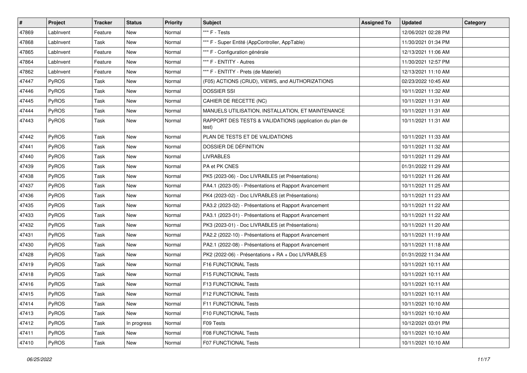| #     | Project      | <b>Tracker</b> | <b>Status</b> | <b>Priority</b> | <b>Subject</b>                                                   | <b>Assigned To</b> | <b>Updated</b>      | Category |
|-------|--------------|----------------|---------------|-----------------|------------------------------------------------------------------|--------------------|---------------------|----------|
| 47869 | LabInvent    | Feature        | New           | Normal          | *** F - Tests                                                    |                    | 12/06/2021 02:28 PM |          |
| 47868 | LabInvent    | Task           | New           | Normal          | *** F - Super Entité (AppController, AppTable)                   |                    | 11/30/2021 01:34 PM |          |
| 47865 | LabInvent    | Feature        | New           | Normal          | *** F - Configuration générale                                   |                    | 12/13/2021 11:06 AM |          |
| 47864 | LabInvent    | Feature        | New           | Normal          | *** F - ENTITY - Autres                                          |                    | 11/30/2021 12:57 PM |          |
| 47862 | LabInvent    | Feature        | New           | Normal          | *** F - ENTITY - Prets (de Materiel)                             |                    | 12/13/2021 11:10 AM |          |
| 47447 | PyROS        | Task           | New           | Normal          | (F05) ACTIONS (CRUD), VIEWS, and AUTHORIZATIONS                  |                    | 02/23/2022 10:45 AM |          |
| 47446 | PyROS        | Task           | <b>New</b>    | Normal          | <b>DOSSIER SSI</b>                                               |                    | 10/11/2021 11:32 AM |          |
| 47445 | PyROS        | Task           | New           | Normal          | CAHIER DE RECETTE (NC)                                           |                    | 10/11/2021 11:31 AM |          |
| 47444 | PyROS        | Task           | New           | Normal          | MANUELS UTILISATION, INSTALLATION, ET MAINTENANCE                |                    | 10/11/2021 11:31 AM |          |
| 47443 | PyROS        | Task           | New           | Normal          | RAPPORT DES TESTS & VALIDATIONS (application du plan de<br>test) |                    | 10/11/2021 11:31 AM |          |
| 47442 | PyROS        | Task           | <b>New</b>    | Normal          | PLAN DE TESTS ET DE VALIDATIONS                                  |                    | 10/11/2021 11:33 AM |          |
| 47441 | PyROS        | Task           | New           | Normal          | DOSSIER DE DÉFINITION                                            |                    | 10/11/2021 11:32 AM |          |
| 47440 | PyROS        | Task           | New           | Normal          | <b>LIVRABLES</b>                                                 |                    | 10/11/2021 11:29 AM |          |
| 47439 | PyROS        | Task           | <b>New</b>    | Normal          | PA et PK CNES                                                    |                    | 01/31/2022 11:29 AM |          |
| 47438 | PyROS        | Task           | New           | Normal          | PK5 (2023-06) - Doc LIVRABLES (et Présentations)                 |                    | 10/11/2021 11:26 AM |          |
| 47437 | PyROS        | Task           | <b>New</b>    | Normal          | PA4.1 (2023-05) - Présentations et Rapport Avancement            |                    | 10/11/2021 11:25 AM |          |
| 47436 | PyROS        | Task           | New           | Normal          | PK4 (2023-02) - Doc LIVRABLES (et Présentations)                 |                    | 10/11/2021 11:23 AM |          |
| 47435 | PyROS        | Task           | New           | Normal          | PA3.2 (2023-02) - Présentations et Rapport Avancement            |                    | 10/11/2021 11:22 AM |          |
| 47433 | PyROS        | Task           | New           | Normal          | PA3.1 (2023-01) - Présentations et Rapport Avancement            |                    | 10/11/2021 11:22 AM |          |
| 47432 | PyROS        | Task           | New           | Normal          | PK3 (2023-01) - Doc LIVRABLES (et Présentations)                 |                    | 10/11/2021 11:20 AM |          |
| 47431 | PyROS        | Task           | <b>New</b>    | Normal          | PA2.2 (2022-10) - Présentations et Rapport Avancement            |                    | 10/11/2021 11:19 AM |          |
| 47430 | PyROS        | Task           | New           | Normal          | PA2.1 (2022-08) - Présentations et Rapport Avancement            |                    | 10/11/2021 11:18 AM |          |
| 47428 | PyROS        | Task           | New           | Normal          | PK2 (2022-06) - Présentations + RA + Doc LIVRABLES               |                    | 01/31/2022 11:34 AM |          |
| 47419 | PyROS        | Task           | <b>New</b>    | Normal          | F16 FUNCTIONAL Tests                                             |                    | 10/11/2021 10:11 AM |          |
| 47418 | PyROS        | Task           | New           | Normal          | F15 FUNCTIONAL Tests                                             |                    | 10/11/2021 10:11 AM |          |
| 47416 | PyROS        | Task           | <b>New</b>    | Normal          | <b>F13 FUNCTIONAL Tests</b>                                      |                    | 10/11/2021 10:11 AM |          |
| 47415 | PyROS        | Task           | New           | Normal          | F12 FUNCTIONAL Tests                                             |                    | 10/11/2021 10:11 AM |          |
| 47414 | <b>PyROS</b> | Task           | New           | Normal          | <b>F11 FUNCTIONAL Tests</b>                                      |                    | 10/11/2021 10:10 AM |          |
| 47413 | PyROS        | Task           | New           | Normal          | <b>F10 FUNCTIONAL Tests</b>                                      |                    | 10/11/2021 10:10 AM |          |
| 47412 | PyROS        | Task           | In progress   | Normal          | F09 Tests                                                        |                    | 10/12/2021 03:01 PM |          |
| 47411 | PyROS        | Task           | New           | Normal          | F08 FUNCTIONAL Tests                                             |                    | 10/11/2021 10:10 AM |          |
| 47410 | PyROS        | Task           | New           | Normal          | F07 FUNCTIONAL Tests                                             |                    | 10/11/2021 10:10 AM |          |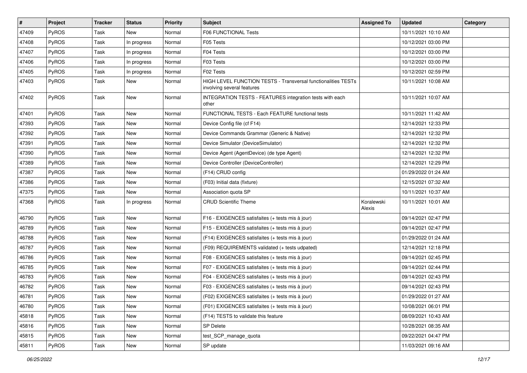| $\pmb{\#}$ | Project      | <b>Tracker</b> | <b>Status</b> | <b>Priority</b> | <b>Subject</b>                                                                              | <b>Assigned To</b>   | <b>Updated</b>      | Category |
|------------|--------------|----------------|---------------|-----------------|---------------------------------------------------------------------------------------------|----------------------|---------------------|----------|
| 47409      | PyROS        | Task           | <b>New</b>    | Normal          | <b>F06 FUNCTIONAL Tests</b>                                                                 |                      | 10/11/2021 10:10 AM |          |
| 47408      | PyROS        | Task           | In progress   | Normal          | F05 Tests                                                                                   |                      | 10/12/2021 03:00 PM |          |
| 47407      | PyROS        | Task           | In progress   | Normal          | F04 Tests                                                                                   |                      | 10/12/2021 03:00 PM |          |
| 47406      | PyROS        | Task           | In progress   | Normal          | F03 Tests                                                                                   |                      | 10/12/2021 03:00 PM |          |
| 47405      | PyROS        | Task           | In progress   | Normal          | F02 Tests                                                                                   |                      | 10/12/2021 02:59 PM |          |
| 47403      | PyROS        | Task           | New           | Normal          | HIGH LEVEL FUNCTION TESTS - Transversal functionalities TESTs<br>involving several features |                      | 10/11/2021 10:08 AM |          |
| 47402      | PyROS        | Task           | New           | Normal          | INTEGRATION TESTS - FEATURES integration tests with each<br>other                           |                      | 10/11/2021 10:07 AM |          |
| 47401      | PyROS        | Task           | <b>New</b>    | Normal          | FUNCTIONAL TESTS - Each FEATURE functional tests                                            |                      | 10/11/2021 11:42 AM |          |
| 47393      | PyROS        | Task           | New           | Normal          | Device Config file (cf F14)                                                                 |                      | 12/14/2021 12:33 PM |          |
| 47392      | PyROS        | Task           | <b>New</b>    | Normal          | Device Commands Grammar (Generic & Native)                                                  |                      | 12/14/2021 12:32 PM |          |
| 47391      | PyROS        | Task           | <b>New</b>    | Normal          | Device Simulator (DeviceSimulator)                                                          |                      | 12/14/2021 12:32 PM |          |
| 47390      | PyROS        | Task           | New           | Normal          | Device Agent (AgentDevice) (de type Agent)                                                  |                      | 12/14/2021 12:32 PM |          |
| 47389      | PyROS        | Task           | <b>New</b>    | Normal          | Device Controller (DeviceController)                                                        |                      | 12/14/2021 12:29 PM |          |
| 47387      | PyROS        | Task           | New           | Normal          | (F14) CRUD config                                                                           |                      | 01/29/2022 01:24 AM |          |
| 47386      | PyROS        | Task           | New           | Normal          | (F03) Initial data (fixture)                                                                |                      | 12/15/2021 07:32 AM |          |
| 47375      | PyROS        | Task           | <b>New</b>    | Normal          | Association quota SP                                                                        |                      | 10/11/2021 10:37 AM |          |
| 47368      | PyROS        | Task           | In progress   | Normal          | <b>CRUD Scientific Theme</b>                                                                | Koralewski<br>Alexis | 10/11/2021 10:01 AM |          |
| 46790      | PyROS        | Task           | New           | Normal          | F16 - EXIGENCES satisfaites (+ tests mis à jour)                                            |                      | 09/14/2021 02:47 PM |          |
| 46789      | PyROS        | Task           | New           | Normal          | F15 - EXIGENCES satisfaites (+ tests mis à jour)                                            |                      | 09/14/2021 02:47 PM |          |
| 46788      | PyROS        | Task           | <b>New</b>    | Normal          | (F14) EXIGENCES satisfaites (+ tests mis à jour)                                            |                      | 01/29/2022 01:24 AM |          |
| 46787      | <b>PyROS</b> | Task           | New           | Normal          | (F09) REQUIREMENTS validated (+ tests udpated)                                              |                      | 12/14/2021 12:18 PM |          |
| 46786      | PyROS        | Task           | <b>New</b>    | Normal          | F08 - EXIGENCES satisfaites (+ tests mis à jour)                                            |                      | 09/14/2021 02:45 PM |          |
| 46785      | PyROS        | Task           | New           | Normal          | F07 - EXIGENCES satisfaites (+ tests mis à jour)                                            |                      | 09/14/2021 02:44 PM |          |
| 46783      | PyROS        | Task           | New           | Normal          | F04 - EXIGENCES satisfaites (+ tests mis à jour)                                            |                      | 09/14/2021 02:43 PM |          |
| 46782      | PyROS        | Task           | <b>New</b>    | Normal          | F03 - EXIGENCES satisfaites (+ tests mis à jour)                                            |                      | 09/14/2021 02:43 PM |          |
| 46781      | PyROS        | Task           | New           | Normal          | (F02) EXIGENCES satisfaites (+ tests mis à jour)                                            |                      | 01/29/2022 01:27 AM |          |
| 46780      | PyROS        | Task           | New           | Normal          | (F01) EXIGENCES satisfaites (+ tests mis à jour)                                            |                      | 10/08/2021 06:01 PM |          |
| 45818      | <b>PyROS</b> | Task           | New           | Normal          | (F14) TESTS to validate this feature                                                        |                      | 08/09/2021 10:43 AM |          |
| 45816      | PyROS        | Task           | New           | Normal          | <b>SP Delete</b>                                                                            |                      | 10/28/2021 08:35 AM |          |
| 45815      | PyROS        | Task           | New           | Normal          | test_SCP_manage_quota                                                                       |                      | 09/22/2021 04:47 PM |          |
| 45811      | PyROS        | Task           | New           | Normal          | SP update                                                                                   |                      | 11/03/2021 09:16 AM |          |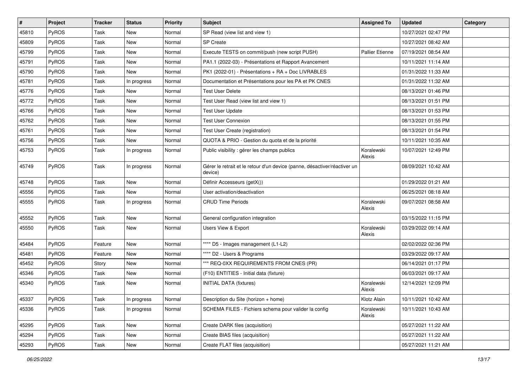| #     | Project      | <b>Tracker</b> | <b>Status</b> | <b>Priority</b> | Subject                                                                              | <b>Assigned To</b>     | <b>Updated</b>      | Category |
|-------|--------------|----------------|---------------|-----------------|--------------------------------------------------------------------------------------|------------------------|---------------------|----------|
| 45810 | <b>PyROS</b> | Task           | <b>New</b>    | Normal          | SP Read (view list and view 1)                                                       |                        | 10/27/2021 02:47 PM |          |
| 45809 | PyROS        | Task           | <b>New</b>    | Normal          | <b>SP Create</b>                                                                     |                        | 10/27/2021 08:42 AM |          |
| 45799 | <b>PyROS</b> | Task           | New           | Normal          | Execute TESTS on commit/push (new script PUSH)                                       | <b>Pallier Etienne</b> | 07/19/2021 08:54 AM |          |
| 45791 | <b>PyROS</b> | Task           | New           | Normal          | PA1.1 (2022-03) - Présentations et Rapport Avancement                                |                        | 10/11/2021 11:14 AM |          |
| 45790 | <b>PyROS</b> | Task           | <b>New</b>    | Normal          | PK1 (2022-01) - Présentations + RA + Doc LIVRABLES                                   |                        | 01/31/2022 11:33 AM |          |
| 45781 | <b>PyROS</b> | Task           | In progress   | Normal          | Documentation et Présentations pour les PA et PK CNES                                |                        | 01/31/2022 11:32 AM |          |
| 45776 | <b>PyROS</b> | Task           | New           | Normal          | <b>Test User Delete</b>                                                              |                        | 08/13/2021 01:46 PM |          |
| 45772 | <b>PyROS</b> | Task           | New           | Normal          | Test User Read (view list and view 1)                                                |                        | 08/13/2021 01:51 PM |          |
| 45766 | <b>PyROS</b> | Task           | New           | Normal          | <b>Test User Update</b>                                                              |                        | 08/13/2021 01:53 PM |          |
| 45762 | <b>PyROS</b> | Task           | <b>New</b>    | Normal          | <b>Test User Connexion</b>                                                           |                        | 08/13/2021 01:55 PM |          |
| 45761 | <b>PyROS</b> | Task           | New           | Normal          | Test User Create (registration)                                                      |                        | 08/13/2021 01:54 PM |          |
| 45756 | <b>PyROS</b> | Task           | <b>New</b>    | Normal          | QUOTA & PRIO - Gestion du quota et de la priorité                                    |                        | 10/11/2021 10:35 AM |          |
| 45753 | <b>PyROS</b> | Task           | In progress   | Normal          | Public visibility : gérer les champs publics                                         | Koralewski<br>Alexis   | 10/07/2021 12:49 PM |          |
| 45749 | <b>PyROS</b> | Task           | In progress   | Normal          | Gérer le retrait et le retour d'un device (panne, désactiver/réactiver un<br>device) |                        | 08/09/2021 10:42 AM |          |
| 45748 | PyROS        | Task           | <b>New</b>    | Normal          | Définir Accesseurs (getX())                                                          |                        | 01/29/2022 01:21 AM |          |
| 45556 | <b>PyROS</b> | Task           | <b>New</b>    | Normal          | User activation/deactivation                                                         |                        | 06/25/2021 08:18 AM |          |
| 45555 | <b>PyROS</b> | Task           | In progress   | Normal          | <b>CRUD Time Periods</b>                                                             | Koralewski<br>Alexis   | 09/07/2021 08:58 AM |          |
| 45552 | PyROS        | Task           | <b>New</b>    | Normal          | General configuration integration                                                    |                        | 03/15/2022 11:15 PM |          |
| 45550 | PyROS        | Task           | New           | Normal          | Users View & Export                                                                  | Koralewski<br>Alexis   | 03/29/2022 09:14 AM |          |
| 45484 | <b>PyROS</b> | Feature        | New           | Normal          | **** D5 - Images management (L1-L2)                                                  |                        | 02/02/2022 02:36 PM |          |
| 45481 | <b>PyROS</b> | Feature        | <b>New</b>    | Normal          | **** D2 - Users & Programs                                                           |                        | 03/29/2022 09:17 AM |          |
| 45452 | <b>PyROS</b> | Story          | <b>New</b>    | Normal          | *** REQ-0XX REQUIREMENTS FROM CNES (PR)                                              |                        | 06/14/2021 01:17 PM |          |
| 45346 | <b>PyROS</b> | Task           | New           | Normal          | (F10) ENTITIES - Initial data (fixture)                                              |                        | 06/03/2021 09:17 AM |          |
| 45340 | PyROS        | Task           | New           | Normal          | <b>INITIAL DATA (fixtures)</b>                                                       | Koralewski<br>Alexis   | 12/14/2021 12:09 PM |          |
| 45337 | PyROS        | Task           | In progress   | Normal          | Description du Site (horizon + home)                                                 | Klotz Alain            | 10/11/2021 10:42 AM |          |
| 45336 | PyROS        | Task           | In progress   | Normal          | SCHEMA FILES - Fichiers schema pour valider la config                                | Koralewski<br>Alexis   | 10/11/2021 10:43 AM |          |
| 45295 | PyROS        | Task           | New           | Normal          | Create DARK files (acquisition)                                                      |                        | 05/27/2021 11:22 AM |          |
| 45294 | PyROS        | Task           | New           | Normal          | Create BIAS files (acquisition)                                                      |                        | 05/27/2021 11:22 AM |          |
| 45293 | PyROS        | Task           | New           | Normal          | Create FLAT files (acquisition)                                                      |                        | 05/27/2021 11:21 AM |          |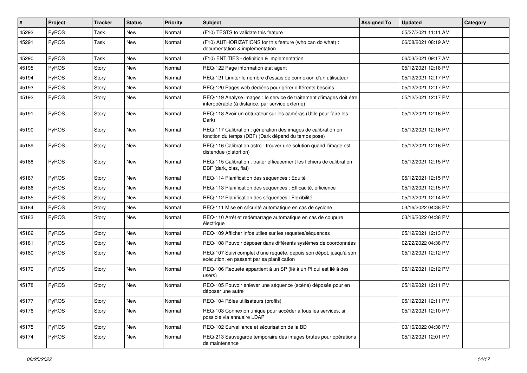| #     | Project | <b>Tracker</b> | <b>Status</b> | <b>Priority</b> | <b>Subject</b>                                                                                                          | <b>Assigned To</b> | <b>Updated</b>      | Category |
|-------|---------|----------------|---------------|-----------------|-------------------------------------------------------------------------------------------------------------------------|--------------------|---------------------|----------|
| 45292 | PyROS   | Task           | <b>New</b>    | Normal          | (F10) TESTS to validate this feature                                                                                    |                    | 05/27/2021 11:11 AM |          |
| 45291 | PyROS   | Task           | New           | Normal          | (F10) AUTHORIZATIONS for this feature (who can do what) :<br>documentation & implementation                             |                    | 06/08/2021 08:19 AM |          |
| 45290 | PyROS   | Task           | <b>New</b>    | Normal          | (F10) ENTITIES - definition & implementation                                                                            |                    | 06/03/2021 09:17 AM |          |
| 45195 | PyROS   | Story          | <b>New</b>    | Normal          | REQ-122 Page information état agent                                                                                     |                    | 05/12/2021 12:18 PM |          |
| 45194 | PyROS   | Story          | New           | Normal          | REQ-121 Limiter le nombre d'essais de connexion d'un utilisateur                                                        |                    | 05/12/2021 12:17 PM |          |
| 45193 | PyROS   | Story          | New           | Normal          | REQ-120 Pages web dédiées pour gérer différents besoins                                                                 |                    | 05/12/2021 12:17 PM |          |
| 45192 | PyROS   | Story          | New           | Normal          | REQ-119 Analyse images : le service de traitement d'images doit être<br>interopérable (à distance, par service externe) |                    | 05/12/2021 12:17 PM |          |
| 45191 | PyROS   | Story          | <b>New</b>    | Normal          | REQ-118 Avoir un obturateur sur les caméras (Utile pour faire les<br>Dark)                                              |                    | 05/12/2021 12:16 PM |          |
| 45190 | PyROS   | Story          | <b>New</b>    | Normal          | REQ-117 Calibration : génération des images de calibration en<br>fonction du temps (DBF) (Dark dépend du temps pose)    |                    | 05/12/2021 12:16 PM |          |
| 45189 | PyROS   | Story          | New           | Normal          | REQ-116 Calibration astro: trouver une solution quand l'image est<br>distendue (distortion)                             |                    | 05/12/2021 12:16 PM |          |
| 45188 | PyROS   | Story          | New           | Normal          | REQ-115 Calibration : traiter efficacement les fichiers de calibration<br>DBF (dark, bias, flat)                        |                    | 05/12/2021 12:15 PM |          |
| 45187 | PyROS   | Story          | <b>New</b>    | Normal          | REQ-114 Planification des séquences : Equité                                                                            |                    | 05/12/2021 12:15 PM |          |
| 45186 | PyROS   | Story          | New           | Normal          | REQ-113 Planification des séquences : Efficacité, efficience                                                            |                    | 05/12/2021 12:15 PM |          |
| 45185 | PyROS   | Story          | <b>New</b>    | Normal          | REQ-112 Planification des séquences : Flexibilité                                                                       |                    | 05/12/2021 12:14 PM |          |
| 45184 | PyROS   | Story          | New           | Normal          | REQ-111 Mise en sécurité automatique en cas de cyclone                                                                  |                    | 03/16/2022 04:38 PM |          |
| 45183 | PyROS   | Story          | New           | Normal          | REQ-110 Arrêt et redémarrage automatique en cas de coupure<br>électrique                                                |                    | 03/16/2022 04:38 PM |          |
| 45182 | PyROS   | Story          | New           | Normal          | REQ-109 Afficher infos utiles sur les requetes/séquences                                                                |                    | 05/12/2021 12:13 PM |          |
| 45181 | PyROS   | Story          | <b>New</b>    | Normal          | REQ-108 Pouvoir déposer dans différents systèmes de coordonnées                                                         |                    | 02/22/2022 04:38 PM |          |
| 45180 | PyROS   | Story          | <b>New</b>    | Normal          | REQ-107 Suivi complet d'une requête, depuis son dépot, jusqu'à son<br>exécution, en passant par sa planification        |                    | 05/12/2021 12:12 PM |          |
| 45179 | PyROS   | Story          | New           | Normal          | REQ-106 Requete appartient à un SP (lié à un PI qui est lié à des<br>users)                                             |                    | 05/12/2021 12:12 PM |          |
| 45178 | PyROS   | Story          | <b>New</b>    | Normal          | REQ-105 Pouvoir enlever une séquence (scène) déposée pour en<br>déposer une autre                                       |                    | 05/12/2021 12:11 PM |          |
| 45177 | PyROS   | Story          | New           | Normal          | REQ-104 Rôles utilisateurs (profils)                                                                                    |                    | 05/12/2021 12:11 PM |          |
| 45176 | PyROS   | Story          | New           | Normal          | REQ-103 Connexion unique pour accéder à tous les services, si<br>possible via annuaire LDAP                             |                    | 05/12/2021 12:10 PM |          |
| 45175 | PyROS   | Story          | New           | Normal          | REQ-102 Surveillance et sécurisation de la BD                                                                           |                    | 03/16/2022 04:38 PM |          |
| 45174 | PyROS   | Story          | New           | Normal          | REQ-213 Sauvegarde temporaire des images brutes pour opérations<br>de maintenance                                       |                    | 05/12/2021 12:01 PM |          |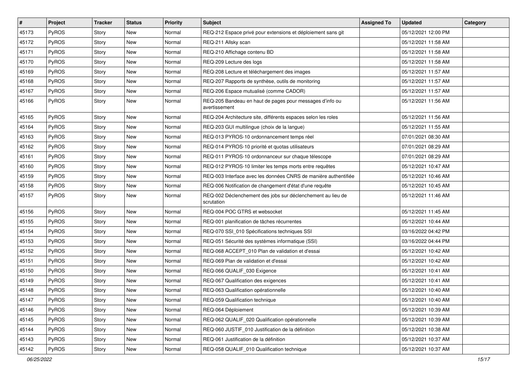| $\vert$ # | Project      | <b>Tracker</b> | <b>Status</b> | <b>Priority</b> | <b>Subject</b>                                                            | <b>Assigned To</b> | <b>Updated</b>      | Category |
|-----------|--------------|----------------|---------------|-----------------|---------------------------------------------------------------------------|--------------------|---------------------|----------|
| 45173     | <b>PyROS</b> | Story          | <b>New</b>    | Normal          | REQ-212 Espace privé pour extensions et déploiement sans git              |                    | 05/12/2021 12:00 PM |          |
| 45172     | PyROS        | Story          | <b>New</b>    | Normal          | REQ-211 Allsky scan                                                       |                    | 05/12/2021 11:58 AM |          |
| 45171     | <b>PyROS</b> | Story          | New           | Normal          | REQ-210 Affichage contenu BD                                              |                    | 05/12/2021 11:58 AM |          |
| 45170     | <b>PyROS</b> | Story          | New           | Normal          | REQ-209 Lecture des logs                                                  |                    | 05/12/2021 11:58 AM |          |
| 45169     | <b>PyROS</b> | Story          | <b>New</b>    | Normal          | REQ-208 Lecture et téléchargement des images                              |                    | 05/12/2021 11:57 AM |          |
| 45168     | <b>PyROS</b> | Story          | New           | Normal          | REQ-207 Rapports de synthèse, outils de monitoring                        |                    | 05/12/2021 11:57 AM |          |
| 45167     | PyROS        | Story          | New           | Normal          | REQ-206 Espace mutualisé (comme CADOR)                                    |                    | 05/12/2021 11:57 AM |          |
| 45166     | <b>PyROS</b> | Story          | New           | Normal          | REQ-205 Bandeau en haut de pages pour messages d'info ou<br>avertissement |                    | 05/12/2021 11:56 AM |          |
| 45165     | PyROS        | Story          | New           | Normal          | REQ-204 Architecture site, différents espaces selon les roles             |                    | 05/12/2021 11:56 AM |          |
| 45164     | <b>PyROS</b> | Story          | New           | Normal          | REQ-203 GUI multilingue (choix de la langue)                              |                    | 05/12/2021 11:55 AM |          |
| 45163     | PyROS        | Story          | New           | Normal          | REQ-013 PYROS-10 ordonnancement temps réel                                |                    | 07/01/2021 08:30 AM |          |
| 45162     | PyROS        | Story          | New           | Normal          | REQ-014 PYROS-10 priorité et quotas utilisateurs                          |                    | 07/01/2021 08:29 AM |          |
| 45161     | <b>PyROS</b> | Story          | <b>New</b>    | Normal          | REQ-011 PYROS-10 ordonnanceur sur chaque télescope                        |                    | 07/01/2021 08:29 AM |          |
| 45160     | PyROS        | Story          | <b>New</b>    | Normal          | REQ-012 PYROS-10 limiter les temps morts entre requêtes                   |                    | 05/12/2021 10:47 AM |          |
| 45159     | PyROS        | Story          | New           | Normal          | REQ-003 Interface avec les données CNRS de manière authentifiée           |                    | 05/12/2021 10:46 AM |          |
| 45158     | PyROS        | Story          | New           | Normal          | REQ-006 Notification de changement d'état d'une requête                   |                    | 05/12/2021 10:45 AM |          |
| 45157     | <b>PyROS</b> | Story          | New           | Normal          | REQ-002 Déclenchement des jobs sur déclenchement au lieu de<br>scrutation |                    | 05/12/2021 11:46 AM |          |
| 45156     | PyROS        | Story          | New           | Normal          | REQ-004 POC GTRS et websocket                                             |                    | 05/12/2021 11:45 AM |          |
| 45155     | PyROS        | Story          | New           | Normal          | REQ-001 planification de tâches récurrentes                               |                    | 05/12/2021 10:44 AM |          |
| 45154     | <b>PyROS</b> | Story          | New           | Normal          | REQ-070 SSI_010 Spécifications techniques SSI                             |                    | 03/16/2022 04:42 PM |          |
| 45153     | PyROS        | Story          | New           | Normal          | REQ-051 Sécurité des systèmes informatique (SSI)                          |                    | 03/16/2022 04:44 PM |          |
| 45152     | <b>PyROS</b> | Story          | New           | Normal          | REQ-068 ACCEPT 010 Plan de validation et d'essai                          |                    | 05/12/2021 10:42 AM |          |
| 45151     | PyROS        | Story          | New           | Normal          | REQ-069 Plan de validation et d'essai                                     |                    | 05/12/2021 10:42 AM |          |
| 45150     | <b>PyROS</b> | Story          | <b>New</b>    | Normal          | REQ-066 QUALIF_030 Exigence                                               |                    | 05/12/2021 10:41 AM |          |
| 45149     | <b>PyROS</b> | Story          | <b>New</b>    | Normal          | REQ-067 Qualification des exigences                                       |                    | 05/12/2021 10:41 AM |          |
| 45148     | PyROS        | Story          | <b>New</b>    | Normal          | REQ-063 Qualification opérationnelle                                      |                    | 05/12/2021 10:40 AM |          |
| 45147     | PyROS        | Story          | New           | Normal          | REQ-059 Qualification technique                                           |                    | 05/12/2021 10:40 AM |          |
| 45146     | <b>PyROS</b> | Story          | New           | Normal          | REQ-064 Déploiement                                                       |                    | 05/12/2021 10:39 AM |          |
| 45145     | <b>PyROS</b> | Story          | New           | Normal          | REQ-062 QUALIF_020 Qualification opérationnelle                           |                    | 05/12/2021 10:39 AM |          |
| 45144     | <b>PyROS</b> | Story          | New           | Normal          | REQ-060 JUSTIF 010 Justification de la définition                         |                    | 05/12/2021 10:38 AM |          |
| 45143     | <b>PyROS</b> | Story          | New           | Normal          | REQ-061 Justification de la définition                                    |                    | 05/12/2021 10:37 AM |          |
| 45142     | PyROS        | Story          | New           | Normal          | REQ-058 QUALIF 010 Qualification technique                                |                    | 05/12/2021 10:37 AM |          |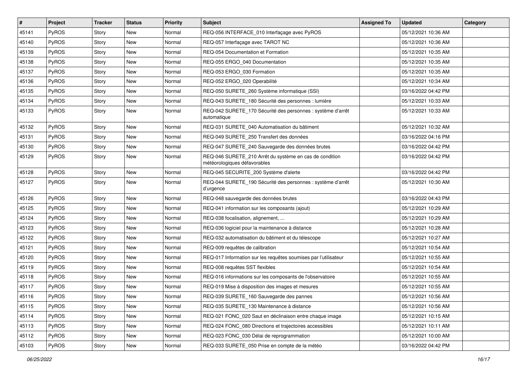| #     | Project      | <b>Tracker</b> | <b>Status</b> | <b>Priority</b> | Subject                                                                                 | <b>Assigned To</b> | <b>Updated</b>      | Category |
|-------|--------------|----------------|---------------|-----------------|-----------------------------------------------------------------------------------------|--------------------|---------------------|----------|
| 45141 | PyROS        | Story          | <b>New</b>    | Normal          | REQ-056 INTERFACE_010 Interfaçage avec PyROS                                            |                    | 05/12/2021 10:36 AM |          |
| 45140 | PyROS        | Story          | New           | Normal          | REQ-057 Interfaçage avec TAROT NC                                                       |                    | 05/12/2021 10:36 AM |          |
| 45139 | <b>PyROS</b> | Story          | New           | Normal          | REQ-054 Documentation et Formation                                                      |                    | 05/12/2021 10:35 AM |          |
| 45138 | PyROS        | Story          | <b>New</b>    | Normal          | REQ-055 ERGO 040 Documentation                                                          |                    | 05/12/2021 10:35 AM |          |
| 45137 | PyROS        | Story          | <b>New</b>    | Normal          | REQ-053 ERGO_030 Formation                                                              |                    | 05/12/2021 10:35 AM |          |
| 45136 | PyROS        | Story          | New           | Normal          | REQ-052 ERGO_020 Operabilité                                                            |                    | 05/12/2021 10:34 AM |          |
| 45135 | PyROS        | Story          | <b>New</b>    | Normal          | REQ-050 SURETE 260 Système informatique (SSI)                                           |                    | 03/16/2022 04:42 PM |          |
| 45134 | <b>PyROS</b> | Story          | New           | Normal          | REQ-043 SURETE_180 Sécurité des personnes : lumière                                     |                    | 05/12/2021 10:33 AM |          |
| 45133 | PyROS        | Story          | New           | Normal          | REQ-042 SURETE_170 Sécurité des personnes : système d'arrêt<br>automatique              |                    | 05/12/2021 10:33 AM |          |
| 45132 | PyROS        | Story          | <b>New</b>    | Normal          | REQ-031 SURETE 040 Automatisation du bâtiment                                           |                    | 05/12/2021 10:32 AM |          |
| 45131 | PyROS        | Story          | <b>New</b>    | Normal          | REQ-049 SURETE 250 Transfert des données                                                |                    | 03/16/2022 04:16 PM |          |
| 45130 | PyROS        | Story          | New           | Normal          | REQ-047 SURETE_240 Sauvegarde des données brutes                                        |                    | 03/16/2022 04:42 PM |          |
| 45129 | <b>PyROS</b> | Story          | New           | Normal          | REQ-046 SURETE_210 Arrêt du système en cas de condition<br>météorologiques défavorables |                    | 03/16/2022 04:42 PM |          |
| 45128 | PyROS        | Story          | New           | Normal          | REQ-045 SECURITE_200 Système d'alerte                                                   |                    | 03/16/2022 04:42 PM |          |
| 45127 | <b>PyROS</b> | Story          | New           | Normal          | REQ-044 SURETE 190 Sécurité des personnes : système d'arrêt<br>d'urgence                |                    | 05/12/2021 10:30 AM |          |
| 45126 | PyROS        | Story          | <b>New</b>    | Normal          | REQ-048 sauvegarde des données brutes                                                   |                    | 03/16/2022 04:43 PM |          |
| 45125 | PyROS        | Story          | <b>New</b>    | Normal          | REQ-041 information sur les composants (ajout)                                          |                    | 05/12/2021 10:29 AM |          |
| 45124 | PyROS        | Story          | New           | Normal          | REQ-038 focalisation, alignement,                                                       |                    | 05/12/2021 10:29 AM |          |
| 45123 | PyROS        | Story          | <b>New</b>    | Normal          | REQ-036 logiciel pour la maintenance à distance                                         |                    | 05/12/2021 10:28 AM |          |
| 45122 | PyROS        | Story          | <b>New</b>    | Normal          | REQ-032 automatisation du bâtiment et du télescope                                      |                    | 05/12/2021 10:27 AM |          |
| 45121 | <b>PyROS</b> | Story          | New           | Normal          | REQ-009 requêtes de calibration                                                         |                    | 05/12/2021 10:54 AM |          |
| 45120 | PyROS        | Story          | <b>New</b>    | Normal          | REQ-017 Information sur les requêtes soumises par l'utilisateur                         |                    | 05/12/2021 10:55 AM |          |
| 45119 | PyROS        | Story          | <b>New</b>    | Normal          | REQ-008 requêtes SST flexibles                                                          |                    | 05/12/2021 10:54 AM |          |
| 45118 | PyROS        | Story          | New           | Normal          | REQ-016 informations sur les composants de l'observatoire                               |                    | 05/12/2021 10:55 AM |          |
| 45117 | PyROS        | Story          | <b>New</b>    | Normal          | REQ-019 Mise à disposition des images et mesures                                        |                    | 05/12/2021 10:55 AM |          |
| 45116 | PyROS        | Story          | New           | Normal          | REQ-039 SURETE_160 Sauvegarde des pannes                                                |                    | 05/12/2021 10:56 AM |          |
| 45115 | <b>PyROS</b> | Story          | New           | Normal          | REQ-035 SURETE 130 Maintenance à distance                                               |                    | 05/12/2021 10:56 AM |          |
| 45114 | PyROS        | Story          | New           | Normal          | REQ-021 FONC 020 Saut en déclinaison entre chaque image                                 |                    | 05/12/2021 10:15 AM |          |
| 45113 | PyROS        | Story          | New           | Normal          | REQ-024 FONC 080 Directions et trajectoires accessibles                                 |                    | 05/12/2021 10:11 AM |          |
| 45112 | PyROS        | Story          | New           | Normal          | REQ-023 FONC 030 Délai de reprogrammation                                               |                    | 05/12/2021 10:00 AM |          |
| 45103 | PyROS        | Story          | New           | Normal          | REQ-033 SURETE 050 Prise en compte de la météo                                          |                    | 03/16/2022 04:42 PM |          |